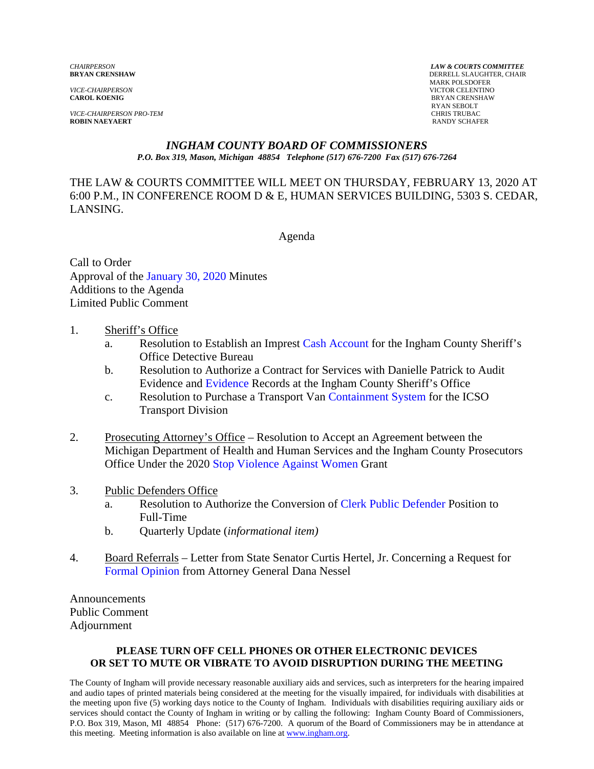*VICE-CHAIRPERSON* VICTOR CELENTINO

*VICE-CHAIRPERSON PRO-TEM* CHRIS TRUBAC **ROBIN NAEYAERT** 

*CHAIRPERSON LAW & COURTS COMMITTEE* **DERRELL SLAUGHTER, CHAIR**  MARK POLSDOFER **BRYAN CRENSHAW** RYAN SEBOLT

#### *INGHAM COUNTY BOARD OF COMMISSIONERS P.O. Box 319, Mason, Michigan 48854 Telephone (517) 676-7200 Fax (517) 676-7264*

THE LAW & COURTS COMMITTEE WILL MEET ON THURSDAY, FEBRUARY 13, 2020 AT 6:00 P.M., IN CONFERENCE ROOM D & E, HUMAN SERVICES BUILDING, 5303 S. CEDAR, LANSING.

Agenda

Call to Order Approva[l of the January 30, 2020 Minutes](#page-1-0)  Additions to the Agenda Limited Public Comment

- 1. Sheriff's Office
	- a. Resolution to Establish an Imprest Cash [Account for the In](#page-8-0)gham County Sheriff's Office Detective Bureau
	- b. Resolution to Authorize a Contract for Services with Danielle Patrick to Audit Evidence [and Evidence Rec](#page-10-0)ords at the Ingham County Sheriff's Office
	- c. Resolution to Purchase a Transport [Van Containment System for the I](#page-12-0)CSO Transport Division
- 2. Prosecuting Attorney's Office Resolution to Accept an Agreement between the Michigan Department of Health and Human Services and the Ingham County Prosecutors Office Under the 20[20 Stop Violence Against Women Grant](#page-14-0)
- 3. Public Defenders Office
	- a. Resolution to Authorize the Conversion [of Clerk Public Defender Position to](#page-16-0) Full-Time
	- b. Quarterly Update (*informational item)*
- 4. [Board Referrals Letter from](#page-18-0) State Senator Curtis Hertel, Jr. Concerning a Request for Formal Opinion from Attorney General Dana Nessel

Announcements Public Comment Adjournment

#### **PLEASE TURN OFF CELL PHONES OR OTHER ELECTRONIC DEVICES OR SET TO MUTE OR VIBRATE TO AVOID DISRUPTION DURING THE MEETING**

The County of Ingham will provide necessary reasonable auxiliary aids and services, such as interpreters for the hearing impaired and audio tapes of printed materials being considered at the meeting for the visually impaired, for individuals with disabilities at the meeting upon five (5) working days notice to the County of Ingham. Individuals with disabilities requiring auxiliary aids or services should contact the County of Ingham in writing or by calling the following: Ingham County Board of Commissioners, P.O. Box 319, Mason, MI 48854 Phone: (517) 676-7200. A quorum of the Board of Commissioners may be in attendance at this meeting. Meeting information is also available on line at www.ingham.org.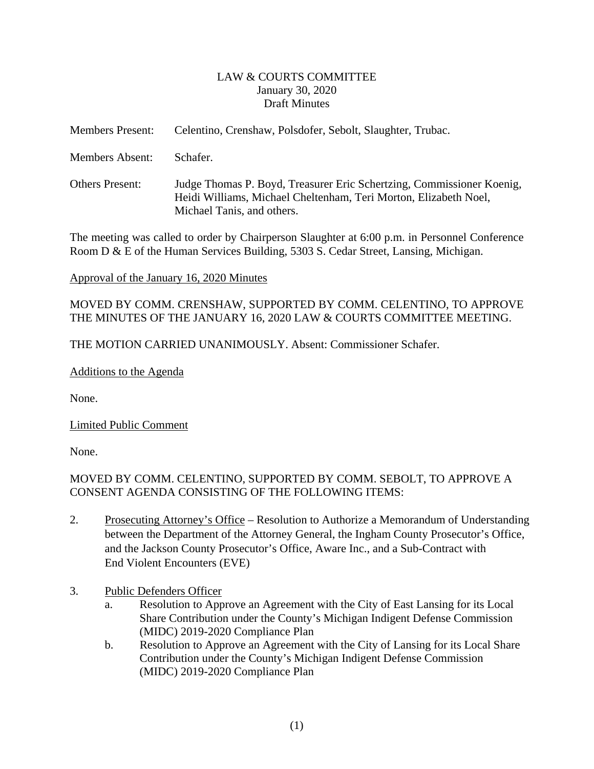#### LAW & COURTS COMMITTEE January 30, 2020 Draft Minutes

<span id="page-1-0"></span>

| <b>Members Present:</b> | Celentino, Crenshaw, Polsdofer, Sebolt, Slaughter, Trubac.                                                                                                              |
|-------------------------|-------------------------------------------------------------------------------------------------------------------------------------------------------------------------|
| <b>Members Absent:</b>  | Schafer.                                                                                                                                                                |
| <b>Others Present:</b>  | Judge Thomas P. Boyd, Treasurer Eric Schertzing, Commissioner Koenig,<br>Heidi Williams, Michael Cheltenham, Teri Morton, Elizabeth Noel,<br>Michael Tanis, and others. |

The meeting was called to order by Chairperson Slaughter at 6:00 p.m. in Personnel Conference Room D & E of the Human Services Building, 5303 S. Cedar Street, Lansing, Michigan.

Approval of the January 16, 2020 Minutes

MOVED BY COMM. CRENSHAW, SUPPORTED BY COMM. CELENTINO, TO APPROVE THE MINUTES OF THE JANUARY 16, 2020 LAW & COURTS COMMITTEE MEETING.

THE MOTION CARRIED UNANIMOUSLY. Absent: Commissioner Schafer.

Additions to the Agenda

None.

Limited Public Comment

None.

MOVED BY COMM. CELENTINO, SUPPORTED BY COMM. SEBOLT, TO APPROVE A CONSENT AGENDA CONSISTING OF THE FOLLOWING ITEMS:

- 2. Prosecuting Attorney's Office Resolution to Authorize a Memorandum of Understanding between the Department of the Attorney General, the Ingham County Prosecutor's Office, and the Jackson County Prosecutor's Office, Aware Inc., and a Sub-Contract with End Violent Encounters (EVE)
- 3. Public Defenders Officer
	- a. Resolution to Approve an Agreement with the City of East Lansing for its Local Share Contribution under the County's Michigan Indigent Defense Commission (MIDC) 2019-2020 Compliance Plan
	- b. Resolution to Approve an Agreement with the City of Lansing for its Local Share Contribution under the County's Michigan Indigent Defense Commission (MIDC) 2019-2020 Compliance Plan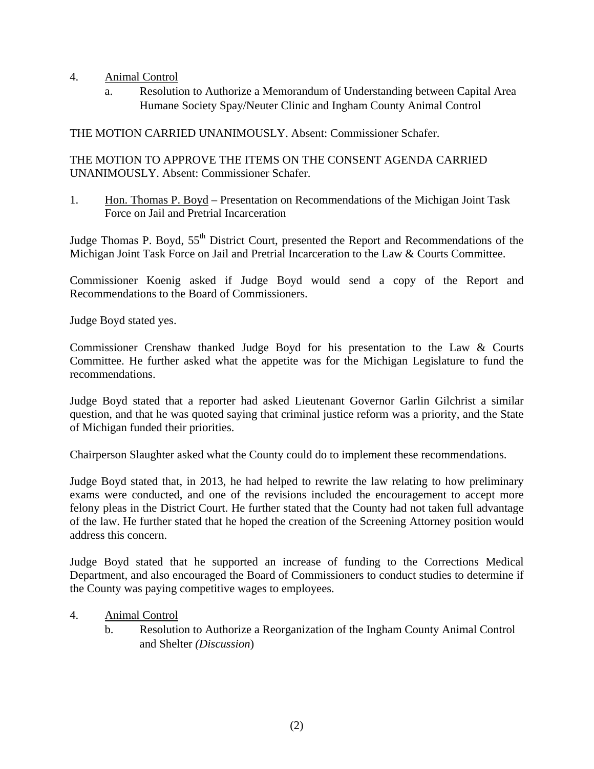- 4. Animal Control
	- a. Resolution to Authorize a Memorandum of Understanding between Capital Area Humane Society Spay/Neuter Clinic and Ingham County Animal Control

THE MOTION CARRIED UNANIMOUSLY. Absent: Commissioner Schafer.

#### THE MOTION TO APPROVE THE ITEMS ON THE CONSENT AGENDA CARRIED UNANIMOUSLY. Absent: Commissioner Schafer.

1. Hon. Thomas P. Boyd – Presentation on Recommendations of the Michigan Joint Task Force on Jail and Pretrial Incarceration

Judge Thomas P. Boyd, 55<sup>th</sup> District Court, presented the Report and Recommendations of the Michigan Joint Task Force on Jail and Pretrial Incarceration to the Law & Courts Committee.

Commissioner Koenig asked if Judge Boyd would send a copy of the Report and Recommendations to the Board of Commissioners.

Judge Boyd stated yes.

Commissioner Crenshaw thanked Judge Boyd for his presentation to the Law & Courts Committee. He further asked what the appetite was for the Michigan Legislature to fund the recommendations.

Judge Boyd stated that a reporter had asked Lieutenant Governor Garlin Gilchrist a similar question, and that he was quoted saying that criminal justice reform was a priority, and the State of Michigan funded their priorities.

Chairperson Slaughter asked what the County could do to implement these recommendations.

Judge Boyd stated that, in 2013, he had helped to rewrite the law relating to how preliminary exams were conducted, and one of the revisions included the encouragement to accept more felony pleas in the District Court. He further stated that the County had not taken full advantage of the law. He further stated that he hoped the creation of the Screening Attorney position would address this concern.

Judge Boyd stated that he supported an increase of funding to the Corrections Medical Department, and also encouraged the Board of Commissioners to conduct studies to determine if the County was paying competitive wages to employees.

#### 4. Animal Control

b. Resolution to Authorize a Reorganization of the Ingham County Animal Control and Shelter *(Discussion*)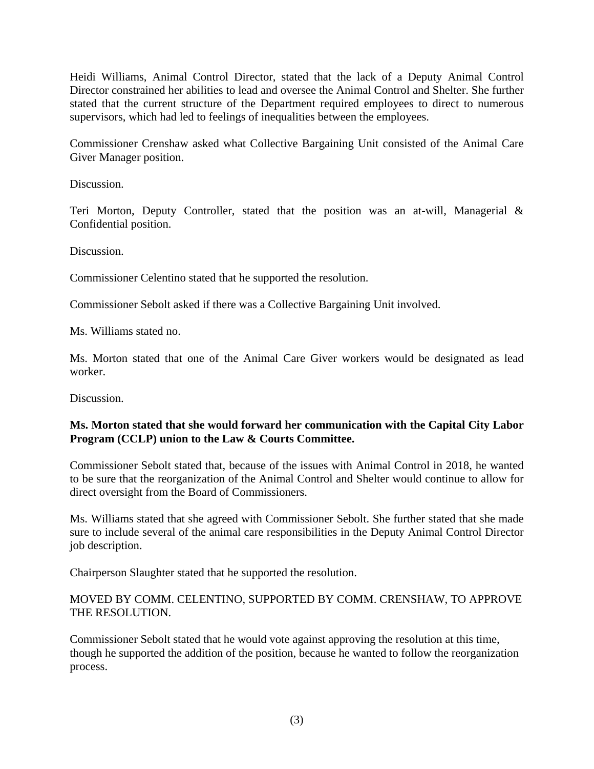Heidi Williams, Animal Control Director, stated that the lack of a Deputy Animal Control Director constrained her abilities to lead and oversee the Animal Control and Shelter. She further stated that the current structure of the Department required employees to direct to numerous supervisors, which had led to feelings of inequalities between the employees.

Commissioner Crenshaw asked what Collective Bargaining Unit consisted of the Animal Care Giver Manager position.

Discussion.

Teri Morton, Deputy Controller, stated that the position was an at-will, Managerial & Confidential position.

Discussion.

Commissioner Celentino stated that he supported the resolution.

Commissioner Sebolt asked if there was a Collective Bargaining Unit involved.

Ms. Williams stated no.

Ms. Morton stated that one of the Animal Care Giver workers would be designated as lead worker.

Discussion.

#### **Ms. Morton stated that she would forward her communication with the Capital City Labor Program (CCLP) union to the Law & Courts Committee.**

Commissioner Sebolt stated that, because of the issues with Animal Control in 2018, he wanted to be sure that the reorganization of the Animal Control and Shelter would continue to allow for direct oversight from the Board of Commissioners.

Ms. Williams stated that she agreed with Commissioner Sebolt. She further stated that she made sure to include several of the animal care responsibilities in the Deputy Animal Control Director job description.

Chairperson Slaughter stated that he supported the resolution.

## MOVED BY COMM. CELENTINO, SUPPORTED BY COMM. CRENSHAW, TO APPROVE THE RESOLUTION.

Commissioner Sebolt stated that he would vote against approving the resolution at this time, though he supported the addition of the position, because he wanted to follow the reorganization process.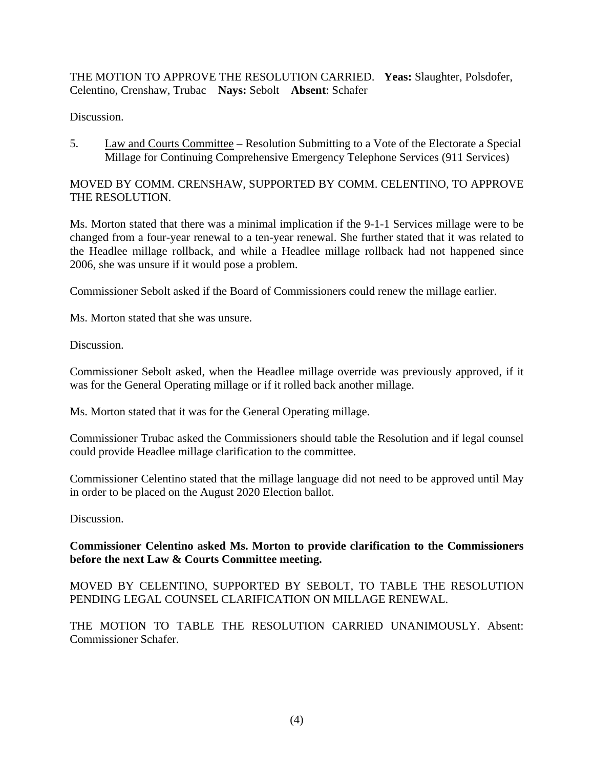THE MOTION TO APPROVE THE RESOLUTION CARRIED. **Yeas:** Slaughter, Polsdofer, Celentino, Crenshaw, Trubac **Nays:** Sebolt **Absent**: Schafer

Discussion.

5. Law and Courts Committee – Resolution Submitting to a Vote of the Electorate a Special Millage for Continuing Comprehensive Emergency Telephone Services (911 Services)

MOVED BY COMM. CRENSHAW, SUPPORTED BY COMM. CELENTINO, TO APPROVE THE RESOLUTION.

Ms. Morton stated that there was a minimal implication if the 9-1-1 Services millage were to be changed from a four-year renewal to a ten-year renewal. She further stated that it was related to the Headlee millage rollback, and while a Headlee millage rollback had not happened since 2006, she was unsure if it would pose a problem.

Commissioner Sebolt asked if the Board of Commissioners could renew the millage earlier.

Ms. Morton stated that she was unsure.

Discussion.

Commissioner Sebolt asked, when the Headlee millage override was previously approved, if it was for the General Operating millage or if it rolled back another millage.

Ms. Morton stated that it was for the General Operating millage.

Commissioner Trubac asked the Commissioners should table the Resolution and if legal counsel could provide Headlee millage clarification to the committee.

Commissioner Celentino stated that the millage language did not need to be approved until May in order to be placed on the August 2020 Election ballot.

Discussion.

#### **Commissioner Celentino asked Ms. Morton to provide clarification to the Commissioners before the next Law & Courts Committee meeting.**

MOVED BY CELENTINO, SUPPORTED BY SEBOLT, TO TABLE THE RESOLUTION PENDING LEGAL COUNSEL CLARIFICATION ON MILLAGE RENEWAL.

THE MOTION TO TABLE THE RESOLUTION CARRIED UNANIMOUSLY. Absent: Commissioner Schafer.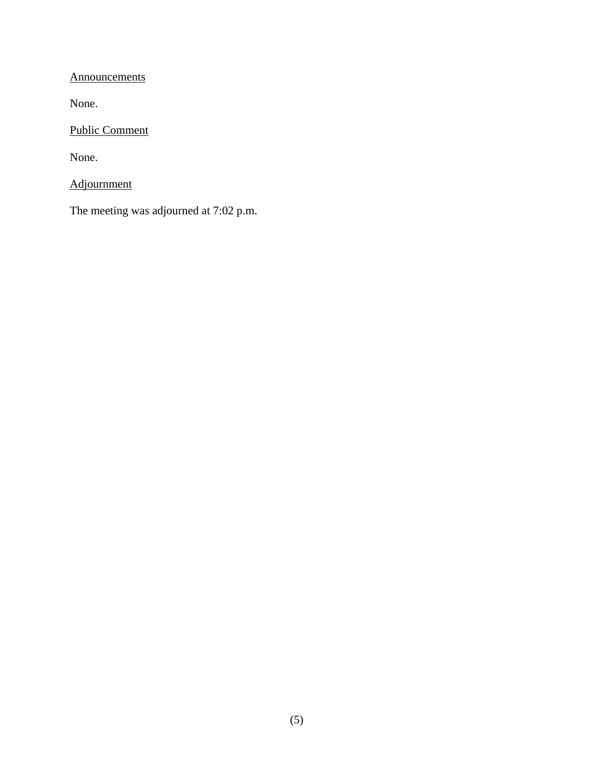**Announcements** 

None.

Public Comment

None.

Adjournment

The meeting was adjourned at 7:02 p.m.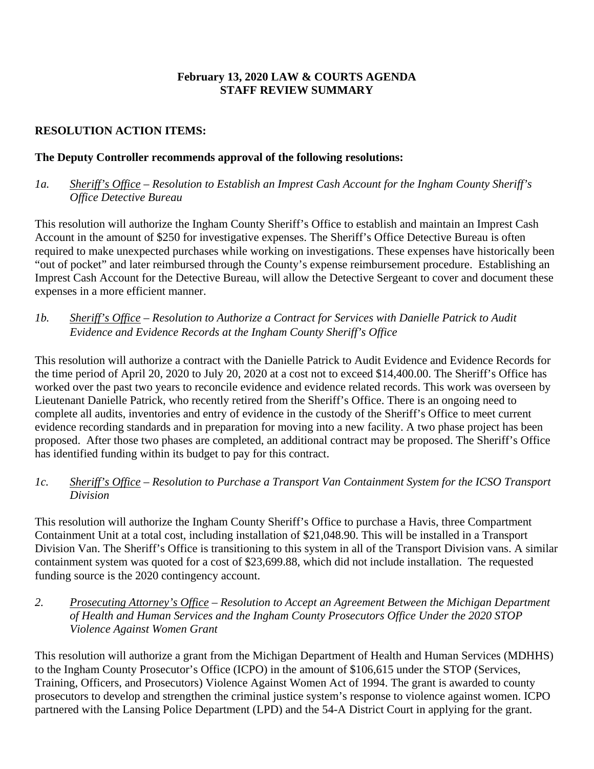#### **February 13, 2020 LAW & COURTS AGENDA STAFF REVIEW SUMMARY**

## **RESOLUTION ACTION ITEMS:**

### **The Deputy Controller recommends approval of the following resolutions:**

*1a. Sheriff's Office – Resolution to Establish an Imprest Cash Account for the Ingham County Sheriff's Office Detective Bureau*

This resolution will authorize the Ingham County Sheriff's Office to establish and maintain an Imprest Cash Account in the amount of \$250 for investigative expenses. The Sheriff's Office Detective Bureau is often required to make unexpected purchases while working on investigations. These expenses have historically been "out of pocket" and later reimbursed through the County's expense reimbursement procedure. Establishing an Imprest Cash Account for the Detective Bureau, will allow the Detective Sergeant to cover and document these expenses in a more efficient manner.

#### *1b. Sheriff's Office – Resolution to Authorize a Contract for Services with Danielle Patrick to Audit Evidence and Evidence Records at the Ingham County Sheriff's Office*

This resolution will authorize a contract with the Danielle Patrick to Audit Evidence and Evidence Records for the time period of April 20, 2020 to July 20, 2020 at a cost not to exceed \$14,400.00. The Sheriff's Office has worked over the past two years to reconcile evidence and evidence related records. This work was overseen by Lieutenant Danielle Patrick, who recently retired from the Sheriff's Office. There is an ongoing need to complete all audits, inventories and entry of evidence in the custody of the Sheriff's Office to meet current evidence recording standards and in preparation for moving into a new facility. A two phase project has been proposed. After those two phases are completed, an additional contract may be proposed. The Sheriff's Office has identified funding within its budget to pay for this contract.

#### *1c. Sheriff's Office – Resolution to Purchase a Transport Van Containment System for the ICSO Transport Division*

This resolution will authorize the Ingham County Sheriff's Office to purchase a Havis, three Compartment Containment Unit at a total cost, including installation of \$21,048.90. This will be installed in a Transport Division Van. The Sheriff's Office is transitioning to this system in all of the Transport Division vans. A similar containment system was quoted for a cost of \$23,699.88, which did not include installation. The requested funding source is the 2020 contingency account.

*2. Prosecuting Attorney's Office – Resolution to Accept an Agreement Between the Michigan Department of Health and Human Services and the Ingham County Prosecutors Office Under the 2020 STOP Violence Against Women Grant* 

This resolution will authorize a grant from the Michigan Department of Health and Human Services (MDHHS) to the Ingham County Prosecutor's Office (ICPO) in the amount of \$106,615 under the STOP (Services, Training, Officers, and Prosecutors) Violence Against Women Act of 1994. The grant is awarded to county prosecutors to develop and strengthen the criminal justice system's response to violence against women. ICPO partnered with the Lansing Police Department (LPD) and the 54-A District Court in applying for the grant.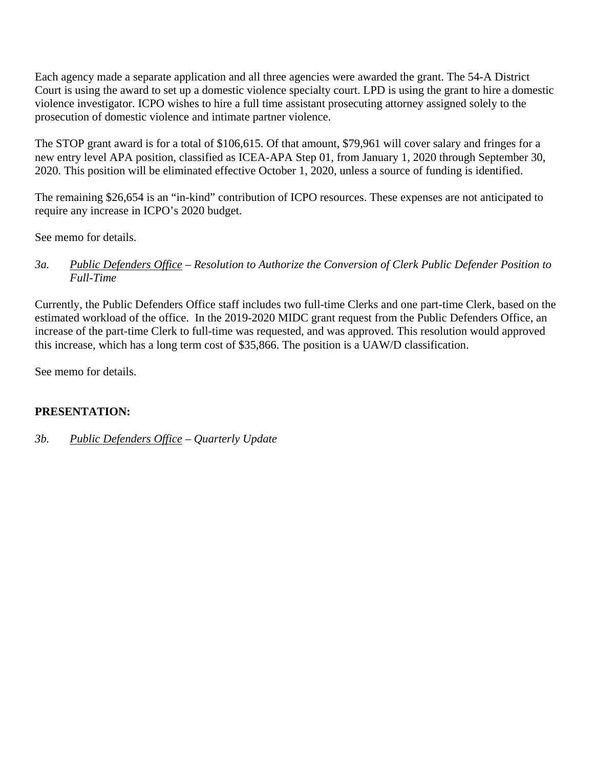Each agency made a separate application and all three agencies were awarded the grant. The 54-A District Court is using the award to set up a domestic violence specialty court. LPD is using the grant to hire a domestic violence investigator. ICPO wishes to hire a full time assistant prosecuting attorney assigned solely to the prosecution of domestic violence and intimate partner violence.

The STOP grant award is for a total of \$106,615. Of that amount, \$79,961 will cover salary and fringes for a new entry level APA position, classified as ICEA-APA Step 01, from January 1, 2020 through September 30, 2020. This position will be eliminated effective October 1, 2020, unless a source of funding is identified.

The remaining \$26,654 is an "in-kind" contribution of ICPO resources. These expenses are not anticipated to require any increase in ICPO's 2020 budget.

See memo for details.

#### *3a. Public Defenders Office – Resolution to Authorize the Conversion of Clerk Public Defender Position to Full-Time*

Currently, the Public Defenders Office staff includes two full-time Clerks and one part-time Clerk, based on the estimated workload of the office. In the 2019-2020 MIDC grant request from the Public Defenders Office, an increase of the part-time Clerk to full-time was requested, and was approved. This resolution would approved this increase, which has a long term cost of \$35,866. The position is a UAW/D classification.

See memo for details.

#### **PRESENTATION:**

*3b. Public Defenders Office – Quarterly Update*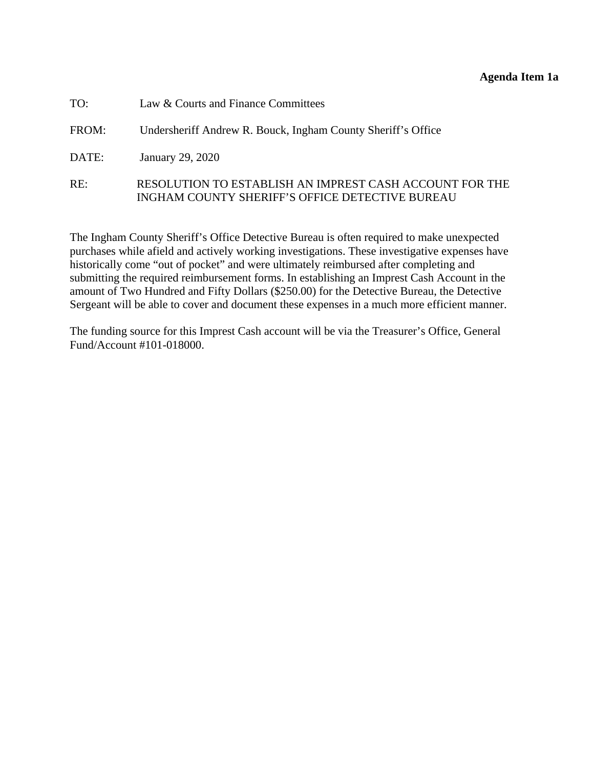#### **Agenda Item 1a**

<span id="page-8-0"></span>

| TO:   | Law & Courts and Finance Committees                                                                        |
|-------|------------------------------------------------------------------------------------------------------------|
| FROM: | Undersheriff Andrew R. Bouck, Ingham County Sheriff's Office                                               |
| DATE: | January 29, 2020                                                                                           |
| RE:   | RESOLUTION TO ESTABLISH AN IMPREST CASH ACCOUNT FOR THE<br>INGHAM COUNTY SHERIFF'S OFFICE DETECTIVE BUREAU |

The Ingham County Sheriff's Office Detective Bureau is often required to make unexpected purchases while afield and actively working investigations. These investigative expenses have historically come "out of pocket" and were ultimately reimbursed after completing and submitting the required reimbursement forms. In establishing an Imprest Cash Account in the amount of Two Hundred and Fifty Dollars (\$250.00) for the Detective Bureau, the Detective Sergeant will be able to cover and document these expenses in a much more efficient manner.

The funding source for this Imprest Cash account will be via the Treasurer's Office, General Fund/Account #101-018000.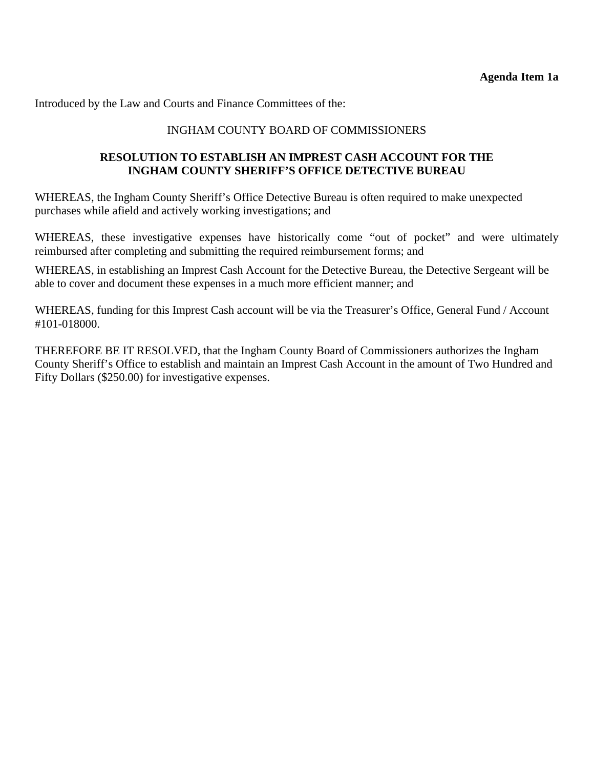Introduced by the Law and Courts and Finance Committees of the:

#### INGHAM COUNTY BOARD OF COMMISSIONERS

#### **RESOLUTION TO ESTABLISH AN IMPREST CASH ACCOUNT FOR THE INGHAM COUNTY SHERIFF'S OFFICE DETECTIVE BUREAU**

WHEREAS, the Ingham County Sheriff's Office Detective Bureau is often required to make unexpected purchases while afield and actively working investigations; and

WHEREAS, these investigative expenses have historically come "out of pocket" and were ultimately reimbursed after completing and submitting the required reimbursement forms; and

WHEREAS, in establishing an Imprest Cash Account for the Detective Bureau, the Detective Sergeant will be able to cover and document these expenses in a much more efficient manner; and

WHEREAS, funding for this Imprest Cash account will be via the Treasurer's Office, General Fund / Account #101-018000.

THEREFORE BE IT RESOLVED, that the Ingham County Board of Commissioners authorizes the Ingham County Sheriff's Office to establish and maintain an Imprest Cash Account in the amount of Two Hundred and Fifty Dollars (\$250.00) for investigative expenses.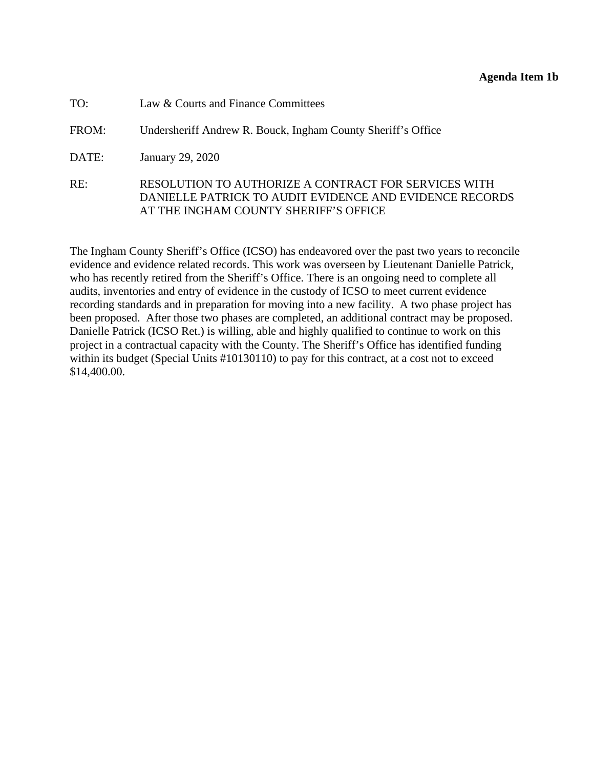#### **Agenda Item 1b**

<span id="page-10-0"></span>

| TO:   | Law & Courts and Finance Committees                                                                                                                      |
|-------|----------------------------------------------------------------------------------------------------------------------------------------------------------|
| FROM: | Undersheriff Andrew R. Bouck, Ingham County Sheriff's Office                                                                                             |
| DATE: | January 29, 2020                                                                                                                                         |
| RE:   | RESOLUTION TO AUTHORIZE A CONTRACT FOR SERVICES WITH<br>DANIELLE PATRICK TO AUDIT EVIDENCE AND EVIDENCE RECORDS<br>AT THE INGHAM COUNTY SHERIFF'S OFFICE |

The Ingham County Sheriff's Office (ICSO) has endeavored over the past two years to reconcile evidence and evidence related records. This work was overseen by Lieutenant Danielle Patrick, who has recently retired from the Sheriff's Office. There is an ongoing need to complete all audits, inventories and entry of evidence in the custody of ICSO to meet current evidence recording standards and in preparation for moving into a new facility. A two phase project has been proposed. After those two phases are completed, an additional contract may be proposed. Danielle Patrick (ICSO Ret.) is willing, able and highly qualified to continue to work on this project in a contractual capacity with the County. The Sheriff's Office has identified funding within its budget (Special Units #10130110) to pay for this contract, at a cost not to exceed \$14,400.00.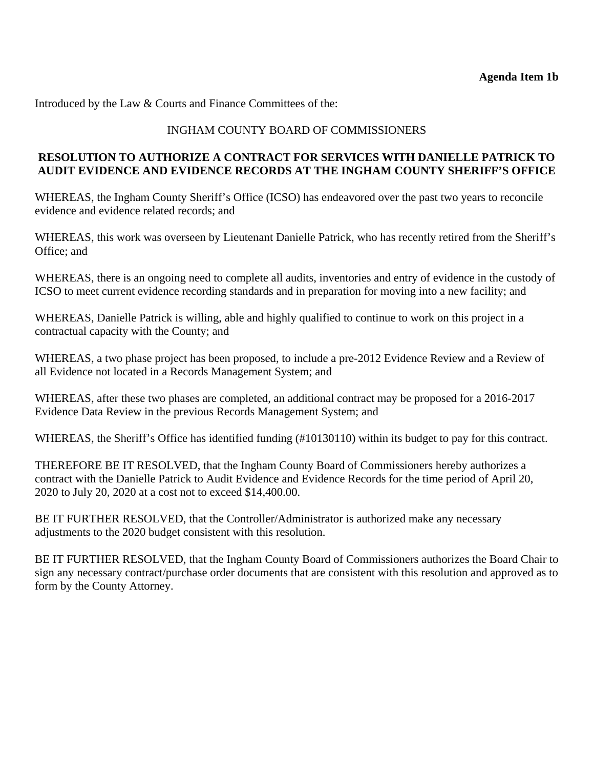Introduced by the Law & Courts and Finance Committees of the:

#### INGHAM COUNTY BOARD OF COMMISSIONERS

#### **RESOLUTION TO AUTHORIZE A CONTRACT FOR SERVICES WITH DANIELLE PATRICK TO AUDIT EVIDENCE AND EVIDENCE RECORDS AT THE INGHAM COUNTY SHERIFF'S OFFICE**

WHEREAS, the Ingham County Sheriff's Office (ICSO) has endeavored over the past two years to reconcile evidence and evidence related records; and

WHEREAS, this work was overseen by Lieutenant Danielle Patrick, who has recently retired from the Sheriff's Office; and

WHEREAS, there is an ongoing need to complete all audits, inventories and entry of evidence in the custody of ICSO to meet current evidence recording standards and in preparation for moving into a new facility; and

WHEREAS, Danielle Patrick is willing, able and highly qualified to continue to work on this project in a contractual capacity with the County; and

WHEREAS, a two phase project has been proposed, to include a pre-2012 Evidence Review and a Review of all Evidence not located in a Records Management System; and

WHEREAS, after these two phases are completed, an additional contract may be proposed for a 2016-2017 Evidence Data Review in the previous Records Management System; and

WHEREAS, the Sheriff's Office has identified funding (#10130110) within its budget to pay for this contract.

THEREFORE BE IT RESOLVED, that the Ingham County Board of Commissioners hereby authorizes a contract with the Danielle Patrick to Audit Evidence and Evidence Records for the time period of April 20, 2020 to July 20, 2020 at a cost not to exceed \$14,400.00.

BE IT FURTHER RESOLVED, that the Controller/Administrator is authorized make any necessary adjustments to the 2020 budget consistent with this resolution.

BE IT FURTHER RESOLVED, that the Ingham County Board of Commissioners authorizes the Board Chair to sign any necessary contract/purchase order documents that are consistent with this resolution and approved as to form by the County Attorney.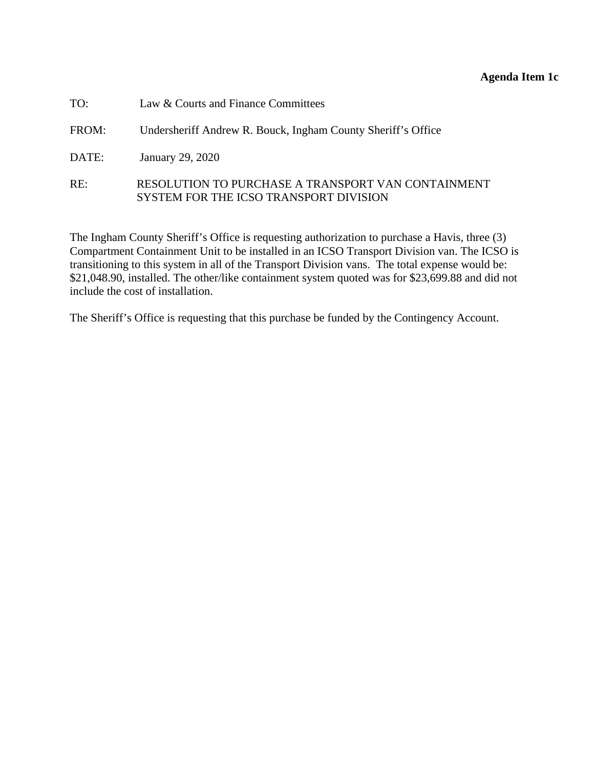#### **Agenda Item 1c**

<span id="page-12-0"></span>

| TO:   | Law & Courts and Finance Committees                                                          |
|-------|----------------------------------------------------------------------------------------------|
| FROM: | Undersheriff Andrew R. Bouck, Ingham County Sheriff's Office                                 |
| DATE: | January 29, 2020                                                                             |
| RE:   | RESOLUTION TO PURCHASE A TRANSPORT VAN CONTAINMENT<br>SYSTEM FOR THE ICSO TRANSPORT DIVISION |

The Ingham County Sheriff's Office is requesting authorization to purchase a Havis, three (3) Compartment Containment Unit to be installed in an ICSO Transport Division van. The ICSO is transitioning to this system in all of the Transport Division vans. The total expense would be: \$21,048.90, installed. The other/like containment system quoted was for \$23,699.88 and did not include the cost of installation.

The Sheriff's Office is requesting that this purchase be funded by the Contingency Account.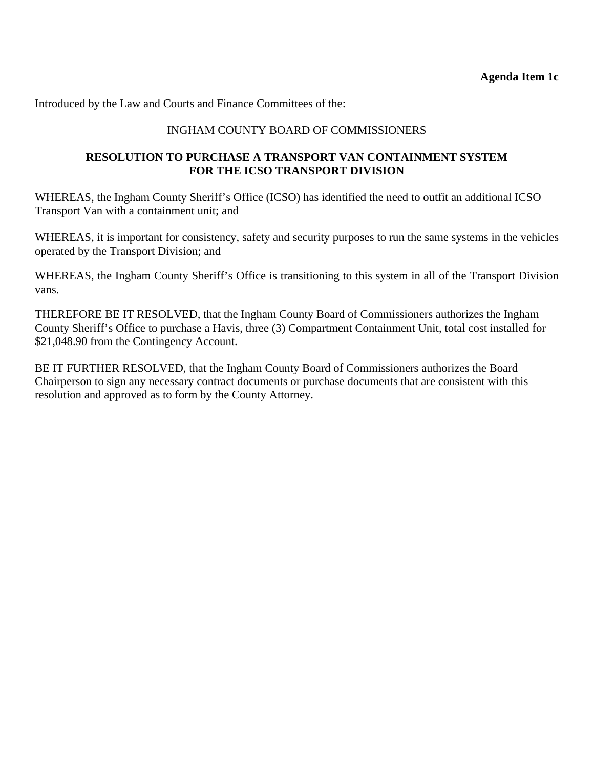Introduced by the Law and Courts and Finance Committees of the:

#### INGHAM COUNTY BOARD OF COMMISSIONERS

#### **RESOLUTION TO PURCHASE A TRANSPORT VAN CONTAINMENT SYSTEM FOR THE ICSO TRANSPORT DIVISION**

WHEREAS, the Ingham County Sheriff's Office (ICSO) has identified the need to outfit an additional ICSO Transport Van with a containment unit; and

WHEREAS, it is important for consistency, safety and security purposes to run the same systems in the vehicles operated by the Transport Division; and

WHEREAS, the Ingham County Sheriff's Office is transitioning to this system in all of the Transport Division vans.

THEREFORE BE IT RESOLVED, that the Ingham County Board of Commissioners authorizes the Ingham County Sheriff's Office to purchase a Havis, three (3) Compartment Containment Unit, total cost installed for \$21,048.90 from the Contingency Account.

BE IT FURTHER RESOLVED, that the Ingham County Board of Commissioners authorizes the Board Chairperson to sign any necessary contract documents or purchase documents that are consistent with this resolution and approved as to form by the County Attorney.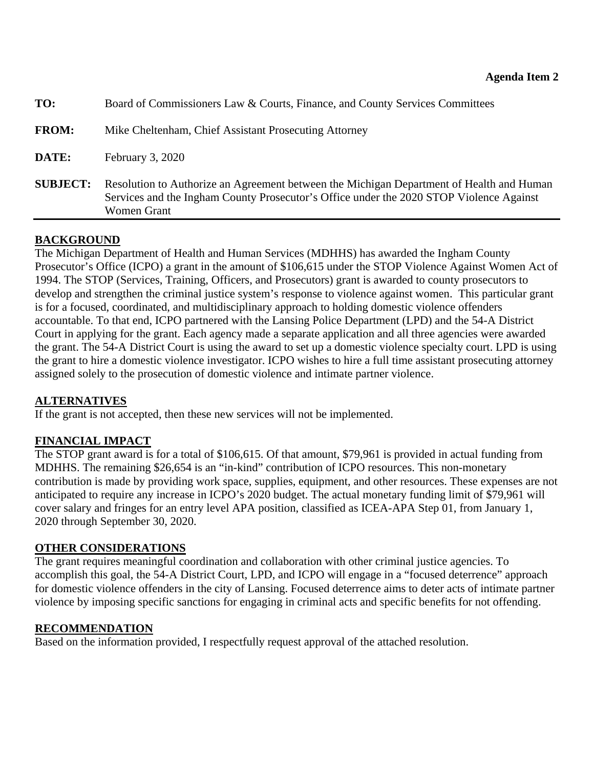<span id="page-14-0"></span>

| TO:             | Board of Commissioners Law & Courts, Finance, and County Services Committees                                                                                                                       |
|-----------------|----------------------------------------------------------------------------------------------------------------------------------------------------------------------------------------------------|
| <b>FROM:</b>    | Mike Cheltenham, Chief Assistant Prosecuting Attorney                                                                                                                                              |
| DATE:           | February 3, 2020                                                                                                                                                                                   |
| <b>SUBJECT:</b> | Resolution to Authorize an Agreement between the Michigan Department of Health and Human<br>Services and the Ingham County Prosecutor's Office under the 2020 STOP Violence Against<br>Women Grant |

## **BACKGROUND**

The Michigan Department of Health and Human Services (MDHHS) has awarded the Ingham County Prosecutor's Office (ICPO) a grant in the amount of \$106,615 under the STOP Violence Against Women Act of 1994. The STOP (Services, Training, Officers, and Prosecutors) grant is awarded to county prosecutors to develop and strengthen the criminal justice system's response to violence against women. This particular grant is for a focused, coordinated, and multidisciplinary approach to holding domestic violence offenders accountable. To that end, ICPO partnered with the Lansing Police Department (LPD) and the 54-A District Court in applying for the grant. Each agency made a separate application and all three agencies were awarded the grant. The 54-A District Court is using the award to set up a domestic violence specialty court. LPD is using the grant to hire a domestic violence investigator. ICPO wishes to hire a full time assistant prosecuting attorney assigned solely to the prosecution of domestic violence and intimate partner violence.

#### **ALTERNATIVES**

If the grant is not accepted, then these new services will not be implemented.

#### **FINANCIAL IMPACT**

The STOP grant award is for a total of \$106,615. Of that amount, \$79,961 is provided in actual funding from MDHHS. The remaining \$26,654 is an "in-kind" contribution of ICPO resources. This non-monetary contribution is made by providing work space, supplies, equipment, and other resources. These expenses are not anticipated to require any increase in ICPO's 2020 budget. The actual monetary funding limit of \$79,961 will cover salary and fringes for an entry level APA position, classified as ICEA-APA Step 01, from January 1, 2020 through September 30, 2020.

## **OTHER CONSIDERATIONS**

The grant requires meaningful coordination and collaboration with other criminal justice agencies. To accomplish this goal, the 54-A District Court, LPD, and ICPO will engage in a "focused deterrence" approach for domestic violence offenders in the city of Lansing. Focused deterrence aims to deter acts of intimate partner violence by imposing specific sanctions for engaging in criminal acts and specific benefits for not offending.

#### **RECOMMENDATION**

Based on the information provided, I respectfully request approval of the attached resolution.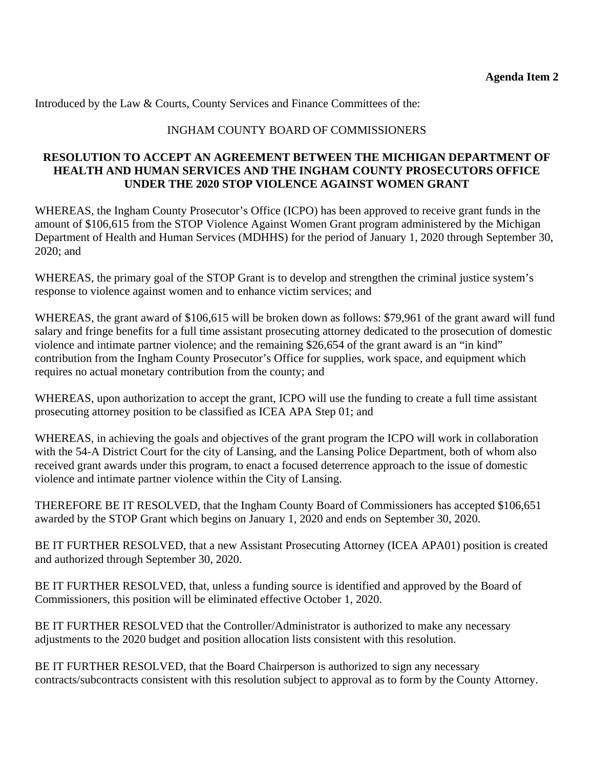Introduced by the Law & Courts, County Services and Finance Committees of the:

#### INGHAM COUNTY BOARD OF COMMISSIONERS

#### **RESOLUTION TO ACCEPT AN AGREEMENT BETWEEN THE MICHIGAN DEPARTMENT OF HEALTH AND HUMAN SERVICES AND THE INGHAM COUNTY PROSECUTORS OFFICE UNDER THE 2020 STOP VIOLENCE AGAINST WOMEN GRANT**

WHEREAS, the Ingham County Prosecutor's Office (ICPO) has been approved to receive grant funds in the amount of \$106,615 from the STOP Violence Against Women Grant program administered by the Michigan Department of Health and Human Services (MDHHS) for the period of January 1, 2020 through September 30, 2020; and

WHEREAS, the primary goal of the STOP Grant is to develop and strengthen the criminal justice system's response to violence against women and to enhance victim services; and

WHEREAS, the grant award of \$106,615 will be broken down as follows: \$79,961 of the grant award will fund salary and fringe benefits for a full time assistant prosecuting attorney dedicated to the prosecution of domestic violence and intimate partner violence; and the remaining \$26,654 of the grant award is an "in kind" contribution from the Ingham County Prosecutor's Office for supplies, work space, and equipment which requires no actual monetary contribution from the county; and

WHEREAS, upon authorization to accept the grant, ICPO will use the funding to create a full time assistant prosecuting attorney position to be classified as ICEA APA Step 01; and

WHEREAS, in achieving the goals and objectives of the grant program the ICPO will work in collaboration with the 54-A District Court for the city of Lansing, and the Lansing Police Department, both of whom also received grant awards under this program, to enact a focused deterrence approach to the issue of domestic violence and intimate partner violence within the City of Lansing.

THEREFORE BE IT RESOLVED, that the Ingham County Board of Commissioners has accepted \$106,651 awarded by the STOP Grant which begins on January 1, 2020 and ends on September 30, 2020.

BE IT FURTHER RESOLVED, that a new Assistant Prosecuting Attorney (ICEA APA01) position is created and authorized through September 30, 2020.

BE IT FURTHER RESOLVED, that, unless a funding source is identified and approved by the Board of Commissioners, this position will be eliminated effective October 1, 2020.

BE IT FURTHER RESOLVED that the Controller/Administrator is authorized to make any necessary adjustments to the 2020 budget and position allocation lists consistent with this resolution.

BE IT FURTHER RESOLVED, that the Board Chairperson is authorized to sign any necessary contracts/subcontracts consistent with this resolution subject to approval as to form by the County Attorney.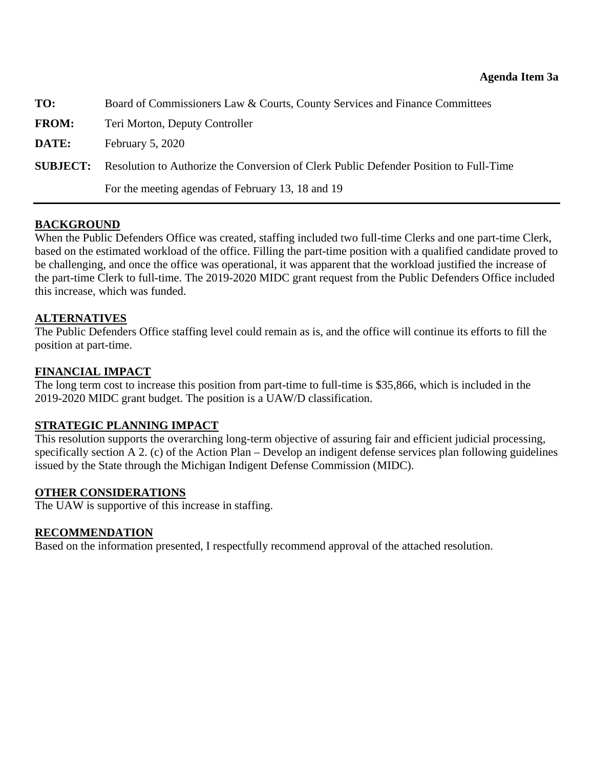<span id="page-16-0"></span>

| TO:             | Board of Commissioners Law & Courts, County Services and Finance Committees           |
|-----------------|---------------------------------------------------------------------------------------|
| <b>FROM:</b>    | Teri Morton, Deputy Controller                                                        |
| DATE:           | February $5, 2020$                                                                    |
| <b>SUBJECT:</b> | Resolution to Authorize the Conversion of Clerk Public Defender Position to Full-Time |
|                 | For the meeting agendas of February 13, 18 and 19                                     |

#### **BACKGROUND**

When the Public Defenders Office was created, staffing included two full-time Clerks and one part-time Clerk, based on the estimated workload of the office. Filling the part-time position with a qualified candidate proved to be challenging, and once the office was operational, it was apparent that the workload justified the increase of the part-time Clerk to full-time. The 2019-2020 MIDC grant request from the Public Defenders Office included this increase, which was funded.

#### **ALTERNATIVES**

The Public Defenders Office staffing level could remain as is, and the office will continue its efforts to fill the position at part-time.

#### **FINANCIAL IMPACT**

The long term cost to increase this position from part-time to full-time is \$35,866, which is included in the 2019-2020 MIDC grant budget. The position is a UAW/D classification.

#### **STRATEGIC PLANNING IMPACT**

This resolution supports the overarching long-term objective of assuring fair and efficient judicial processing, specifically section A 2. (c) of the Action Plan – Develop an indigent defense services plan following guidelines issued by the State through the Michigan Indigent Defense Commission (MIDC).

#### **OTHER CONSIDERATIONS**

The UAW is supportive of this increase in staffing.

#### **RECOMMENDATION**

Based on the information presented, I respectfully recommend approval of the attached resolution.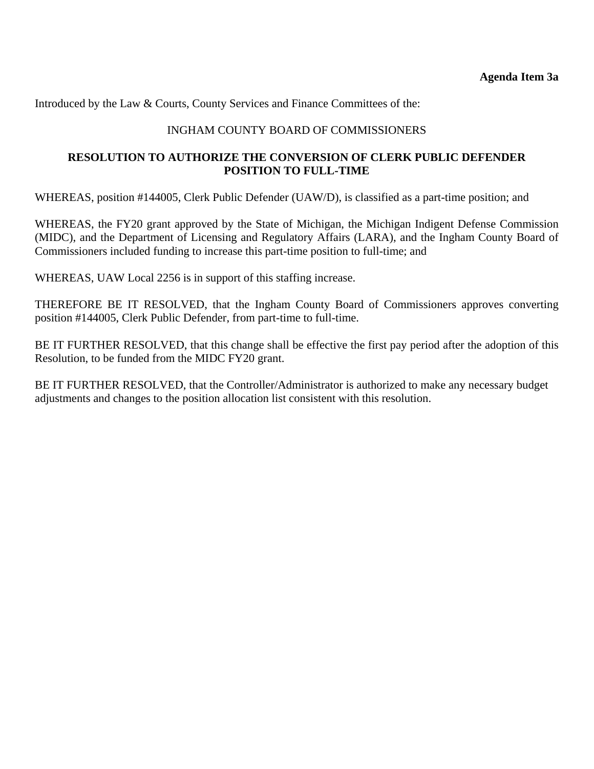Introduced by the Law & Courts, County Services and Finance Committees of the:

#### INGHAM COUNTY BOARD OF COMMISSIONERS

#### **RESOLUTION TO AUTHORIZE THE CONVERSION OF CLERK PUBLIC DEFENDER POSITION TO FULL-TIME**

WHEREAS, position #144005, Clerk Public Defender (UAW/D), is classified as a part-time position; and

WHEREAS, the FY20 grant approved by the State of Michigan, the Michigan Indigent Defense Commission (MIDC), and the Department of Licensing and Regulatory Affairs (LARA), and the Ingham County Board of Commissioners included funding to increase this part-time position to full-time; and

WHEREAS, UAW Local 2256 is in support of this staffing increase.

THEREFORE BE IT RESOLVED, that the Ingham County Board of Commissioners approves converting position #144005, Clerk Public Defender, from part-time to full-time.

BE IT FURTHER RESOLVED, that this change shall be effective the first pay period after the adoption of this Resolution, to be funded from the MIDC FY20 grant.

BE IT FURTHER RESOLVED, that the Controller/Administrator is authorized to make any necessary budget adjustments and changes to the position allocation list consistent with this resolution.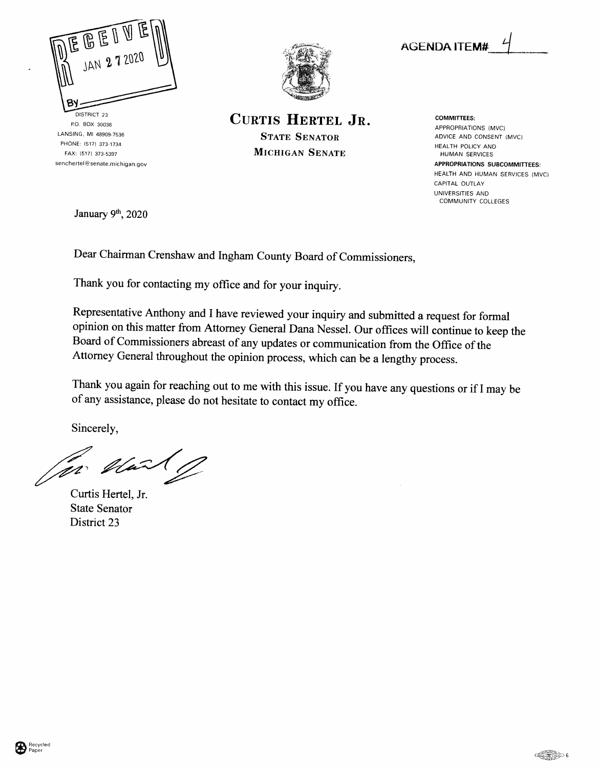<span id="page-18-0"></span>

DISTRICT 23 P.O. BOX 30036 LANSING, Ml 48909-7536 PHONE: (517) 373-1734 FAX: (517) 373-5397 senchertel@senate.michigan.gov





CURTIS HERTEL JR. **STATE SENATOR** Michigan Senate

*COMMITTEES:* APPROPRIATIONS (MVC) ADVICE AND CONSENT (MVC) HEALTH POLICY AND HUMAN SERVICES *APPROPRIATIONS SUBCOMMITTEES:* HEALTH AND HUMAN SERVICES (MVC) CAPITAL OUTLAY UNIVERSITIES AND COMMUNITY COLLEGES

January 9<sup>th</sup>, 2020

Dear Chairman Crenshaw and Ingham County Board of Commissioners,

Thank you for contacting my office and for your inquiry.

Representative Anthony and I have reviewed your inquiry and submitted a request for formal opinion on this matter from Attorney General Dana Nessel. Our offices will continue to keep the Board of Commissioners abreast of any updates or communication from the Office of the Attorney General throughout the opinion process, which can be a lengthy process.

Thank you again for reaching out to me with this issue. If you have any questions or if I may be of any assistance, please do not hesitate to contact my office.

Sincerely,

far:

Curtis Hertel, Jr. State Senator District 23



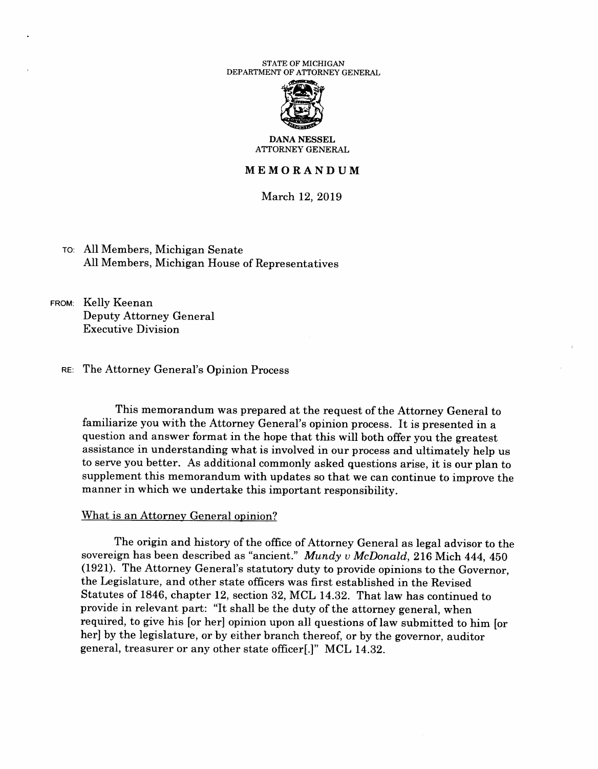#### STATE OF MICHIGAN DEPARTMENT OF ATTORNEY GENERAL



*DANA NESSEL* ATTORNEY GENERAL

#### *MEMORANDUM*

March 12, 2019

TO: All Members, Michigan Senate All Members, Michigan House of Representatives

from: Kelly Keenan Deputy Attorney General Executive Division

RE: The Attorney General's Opinion Process

This memorandum was prepared at the request of the Attorney General to familiarize you with the Attorney General's opinion process. It is presented in a question and answer format in the hope that this will both offer you the greatest assistance in understanding what is involved in our process and ultimately help us to serve you better. As additional commonly asked questions arise, it is our plan to supplement this memorandum with updates so that we can continue to improve the manner in which we undertake this important responsibility.

#### What is an Attorney General opinion?

The origin and history of the office of Attorney General as legal advisor to the sovereign has been described as "ancient." **Mundy v McDonald,** 216 Mich 444, 450 (1921). The Attorney General's statutory duty to provide opinions to the Governor, the Legislature, and other state officers was first established in the Revised Statutes of 1846, chapter 12, section 32, MCL 14.32. That law has continued to provide in relevant part: "It shall be the duty of the attorney general, when required, to give his [or her] opinion upon all questions of law submitted to him [or her] by the legislature, or by either branch thereof, or by the governor, auditor general, treasurer or any other state officerf.]" MCL 14.32.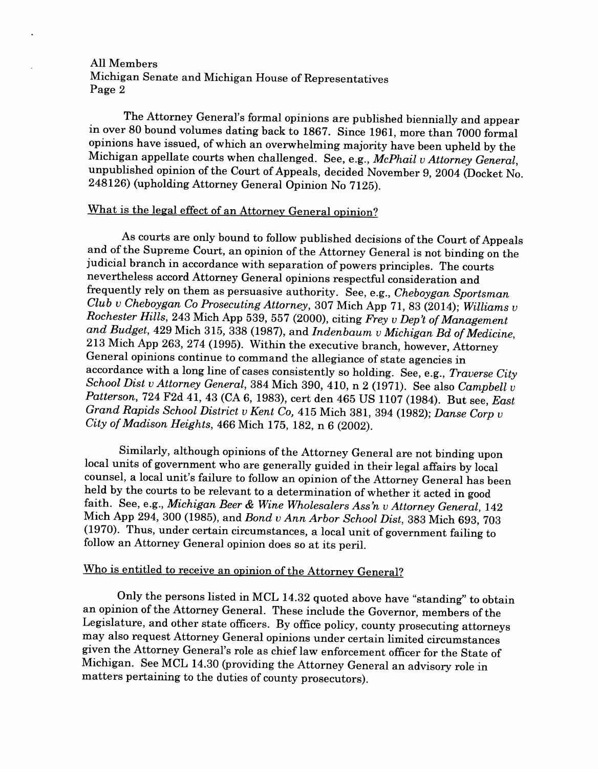All Members Michigan Senate and Michigan House of Representatives Page 2

The Attorney General's formal opinions are published biennially and appear in over 80 bound volumes dating back to 1867. Since 1961, more than 7000 formal opinions have issued, ofwhich an overwhelming majority have been upheld by the Michigan appellate courts when challenged. See, e.g., **McPhail vAttorney General,** unpublished opinion of the Court of Appeals, decided November 9, 2004 (Docket No. 248126) (upholding Attorney General Opinion No 7125).

#### What is the legal effect of an Attorney General opinion?

As courts are only bound to follow published decisions of the Court of Appeals and of the Supreme Court, an opinion of the Attorney General is not binding on the judicial branch in accordance with separation of powers principles. The courts nevertheless accordAttorney General opinions respectful consideration and frequently rely on them as persuasive authority. See, e.g., **Cheboygan Sportsman Club vCheboygan Co Prosecuting Attorney,** 307 Mich App 71, 83 (2014); **Williams v Rochester Hills, 243 Mich App 539, 557 (2000), citing Frey v Dep't of Management** and Budget, 429 Mich 315, 338 (1987), and *Indenbaum*  $v$  Michigan Bd of Medicine, 213 Mich App 263, 274 (1995). Within the executive branch, however, Attorney General opinions continue to command the allegiance of state agencies in accordance with <sup>a</sup> long line ofcases consistently so holding. See, e.g., **Traverse City School Dist vAttorney General,** <sup>384</sup> Mich 390, 410, n 2 (1971). See also **Campbell <sup>v</sup> Patterson,** 724 F2d 41, 43 (CA 6, 1983), cert den465 US 1107 (1984). Butsee, **East Grand Rapids School District vKent Co,** 415 Mich 381, 394 (1982); **Danse Corp v City ofMadison Heights,** 466 Mich 175, 182, n 6 (2002).

Similarly, although opinions of the Attorney General are not binding upon local units of government who are generally guided in their legal affairs by local counsel, a local unit's failure to follow an opinion of the Attorney General has been held by the courts to be relevant to a determination of whether it acted in good faith. See, e.g., Michigan Beer & Wine Wholesalers Ass'n v Attorney General, 142 Mich App 294, 300 (1985), and**Bond vAnn Arbor School Dist,** 383 Mich 693, 703 (1970). Thus, under certain circumstances, a local unit of government failing to follow an Attorney General opinion does so at its peril.

# Who is entitled to receive an opinion of the Attorney General?

Only the persons listed in MCL 14.32 quoted above have "standing" to obtain an opinion of the Attorney General. These include the Governor, members of the Legislature, and other state officers. By office policy, county prosecuting attorneys may also request Attorney General opinions under certain limited circumstances given the Attorney General's role as chief law enforcement officer for the State of Michigan. See MCL 14.30 (providing the Attorney General an advisory role in matters pertaining to the duties of county prosecutors).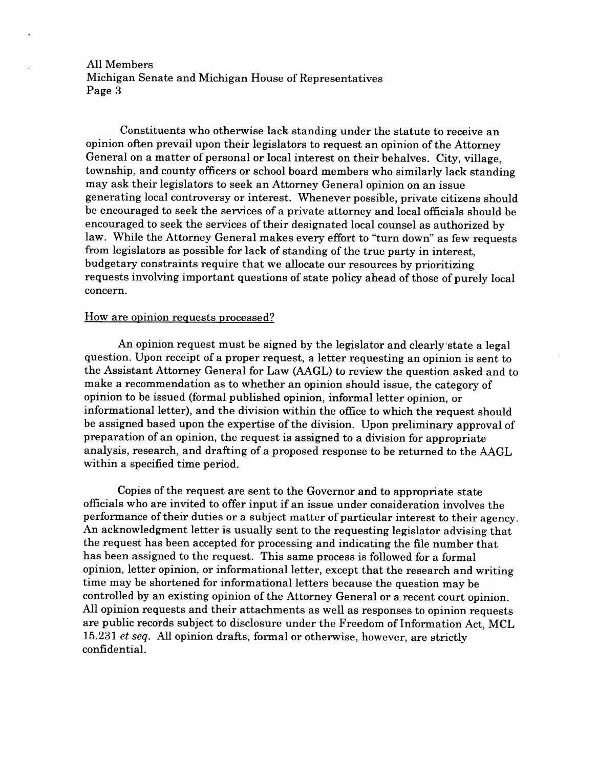All Members Michigan Senate and Michigan House of Representatives Page 3

Constituents who otherwise lack standing under the statute to receive an opinion often prevail upon their legislators to request an opinion of the Attorney General on a matter of personal or local interest on their behalves. City, village, township, and county officers or school board members who similarly lack standing may ask their legislators to seek an Attorney General opinion on an issue generating local controversy or interest. Whenever possible, private citizens should be encouraged to seek the services of a private attorney and local officials should be encouraged to seek the services of their designated local counsel as authorized by law. While the Attorney General makes every effort to "turn down" as few requests from legislators as possible for lack of standing of the true party in interest, budgetary constraints require that we allocate our resources by prioritizing requests involving important questions of state policy ahead of those of purely local concern.

#### How are opinion requests processed?

An opinion request must be signed by the legislator and clearly state a legal question. Upon receipt of a proper request, a letter requesting an opinion is sent to the Assistant Attorney General for Law (AAGL) to review the question asked and to make a recommendation as to whether an opinion should issue, the category of opinion to be issued (formal published opinion, informal letter opinion, or informational letter), and the division within the office to which the request should be assigned based upon the expertise of the division. Upon preliminary approval of preparation of an opinion, the request is assigned to a division for appropriate analysis, research, and drafting of a proposed response to be returned to the AAGL within a specified time period.

Copies of the request are sent to the Governor and to appropriate state officials who are invited to offer input if an issue under consideration involves the performance of their duties or a subject matter of particular interest to their agency. An acknowledgment letter is usually sent to the requesting legislator advising that the request has been accepted for processing and indicating the file number that has been assigned to the request. This same process is followed for a formal opinion, letter opinion, or informational letter, except that the research and writing time may be shortened for informational letters because the question may be controlled by an existing opinion of the Attorney General or a recent court opinion. All opinion requests and their attachments as well as responses to opinion requests are public records subject to disclosure under the Freedom of Information Act, MCL 15.231 **et seq.** All opinion drafts, formal or otherwise, however, are strictly confidential.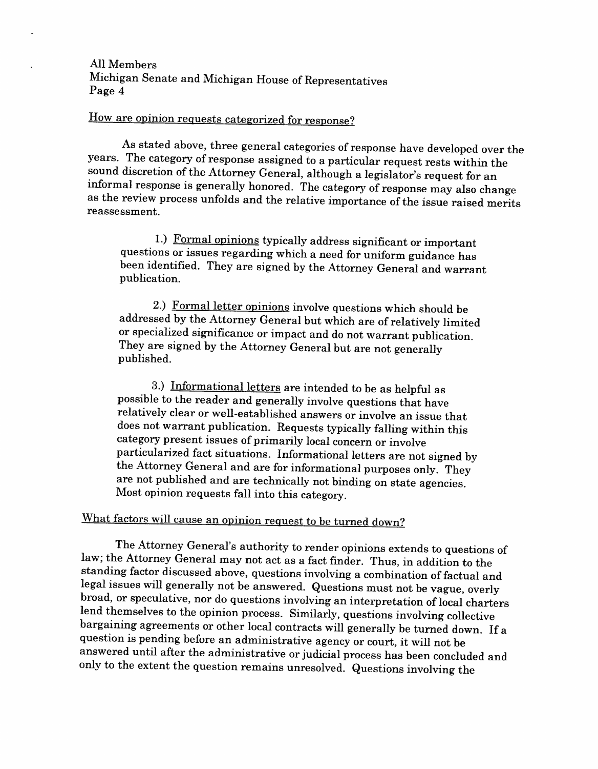All Members Michigan Senate and Michigan House of Representatives Page 4

#### How are opinion requests categorized for response?

As stated above, three general categories of response have developed over the years. The category of response assigned to a particular request rests within the sound discretion of the Attorney General, although a legislator's request for an informal response is generally honored. The category of response may also change as the review process unfolds and the relative importance of the issue raised merits reassessment.

1.) Formal opinions typically address significant or important questions or issues regarding which a need for uniform guidance has been identified. They are signed by the Attorney General and warrant publication.

2) Formal letter opinions involve questions which should be addressed by the Attorney General but which are of relatively limited or specialized significance or impact and do not warrant publication. They are signed by the Attorney General but are not generally published.

3) Informational letters are intended to be as helpful as possible to the reader and generally involve questions that have relatively clear or well-established answers or involve an issue that does not warrant publication. Requests typically falling within this category present issues of primarily local concern or involve the Attorney General and are for informational purposes only. They are not published and are technically not binding on state agencies. Most opinion requests fall into this category.

# What factors will cause an opinion request to be turned down?

The Attorney General's authority to render opinions extends to questions of law; the Attorney General may not act as a fact finder. Thus, in addition to the standing factor discussed above, questions involving a combination of factual and legal issues will generally not be answered. Questions must not be vague, overly broad, or speculative, nor do questions involving an interpretation of local charters lend themselves to the opinion process. Similarly, questions involving collective bargaining agreements or other local contracts will generally be turned down. If a question is pending before an administrative agency or court, it will not be answered until after the administrative or judicial process has been concluded and only to the extent the question remains unresolved. Questions involving the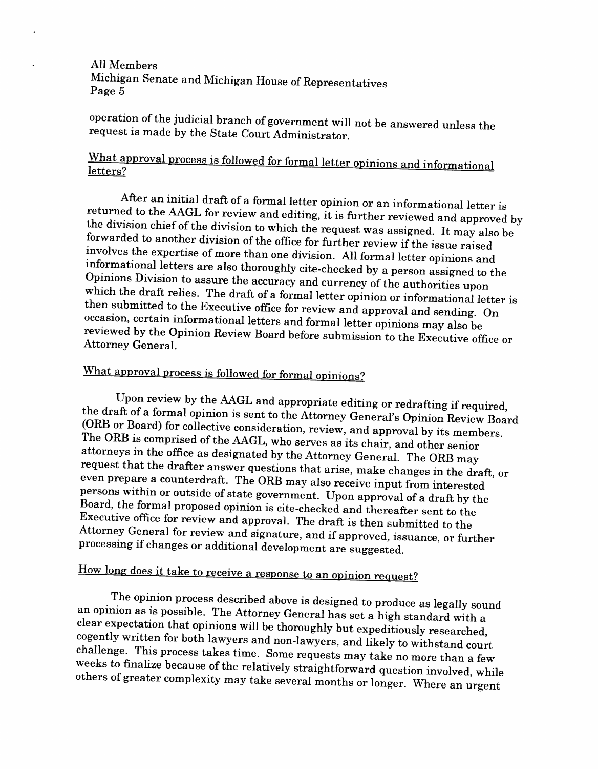All Members Michigan Senate and Michigan House of Representatives<br>Page 5

operation of the judicial branch of government will not be answered unless the request is made by the State Court Administrator.

# *What approval process is followed for formal letter opinions and informational letters?*

After an initial draft of a formal letter opinion or an informational letter is<br>returned to the AAGL for review and editing, it is further reviewed and approved by<br>the division chief of the division to which the request wa forwarded to another division of the office for further review if the issue raised involves the expertise of more than one division. All formal letter opinions and informational letters are also thoroughly cite-checked by a person assigned to the Opinions Division to assure the accuracy and currency of the authorities upon which the draft relies. The draft of a formal letter opinion or informational letter is then submitted to the Executive office for review and approval and sending. On occasion, certain informational letters and formal letter opinions may also be reviewed by the Opinion Review Board before submission to the Executive office or Attorney General.

# What approval process is followed for formal opinions?

Upon review by the AAGL and appropriate editing or redrafting if required,<br>the draft of a formal opinion is sent to the Attorney General's Opinion Review Board<br>(ORB or Board) for collective consideration, review, and appro attorneys in the office as designated by the Attorney General. The ORB may request that the drafter answer questions that arise, make changes in the draft, or<br>even prepare a counterdraft. The ORB may also receive input from interested persons within or outside of state government. Upon approval of a draft by the Board, the formal proposed opinion is cite-checked and thereafter sent to the Executive office for review and approval. The draft is then submitted to the Attorney General for review and signature, and if approved, issuance, or further processing if changes or additional development are suggested.

# How long does it take to receive a response to an opinion request?

The opinion process described above is designed to produce as legally sound an opinion as is possible. The Attorney General has set a high standard with a clear expectation that opinions will be thoroughly but expeditiously researched cogently written for both lawyers and non-lawyers, and likely to withstand court challenge. This process takes time. Some requests may take no more than a few<br>weeks to finalize because of the relatively straightforward question involved, while others of greater complexity may take several months or longer. Where an urgent